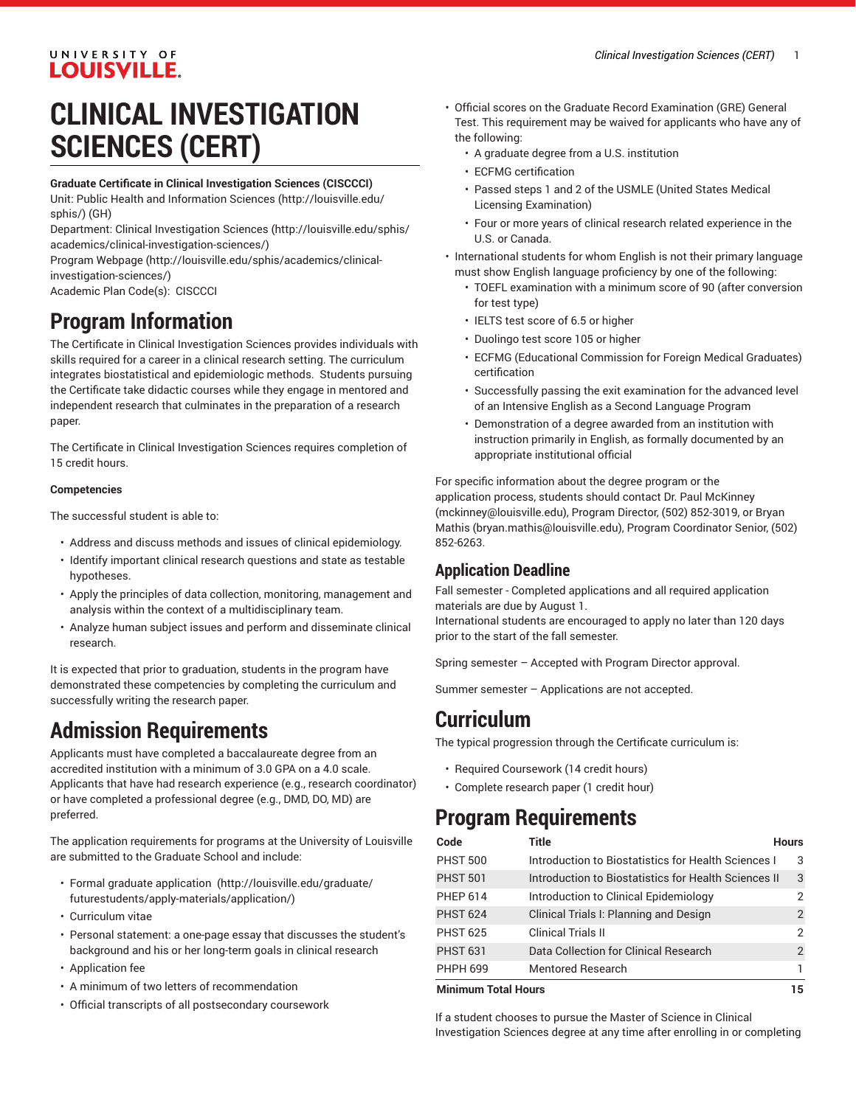## UNIVERSITY OF **LOUISVILLE.**

# **CLINICAL INVESTIGATION SCIENCES (CERT)**

#### **Graduate Certificate in Clinical Investigation Sciences (CISCCCI)**

Unit: [Public Health and Information Sciences](http://louisville.edu/sphis/) ([http://louisville.edu/](http://louisville.edu/sphis/) [sphis/\)](http://louisville.edu/sphis/) (GH)

Department: Clinical [Investigation](http://louisville.edu/sphis/academics/clinical-investigation-sciences/) Sciences ([http://louisville.edu/sphis/](http://louisville.edu/sphis/academics/clinical-investigation-sciences/) [academics/clinical-investigation-sciences/\)](http://louisville.edu/sphis/academics/clinical-investigation-sciences/)

Program [Webpage](http://louisville.edu/sphis/academics/clinical-investigation-sciences/) [\(http://louisville.edu/sphis/academics/clinical](http://louisville.edu/sphis/academics/clinical-investigation-sciences/)[investigation-sciences/\)](http://louisville.edu/sphis/academics/clinical-investigation-sciences/)

Academic Plan Code(s): CISCCCI

# **Program Information**

The Certificate in Clinical Investigation Sciences provides individuals with skills required for a career in a clinical research setting. The curriculum integrates biostatistical and epidemiologic methods. Students pursuing the Certificate take didactic courses while they engage in mentored and independent research that culminates in the preparation of a research paper.

The Certificate in Clinical Investigation Sciences requires completion of 15 credit hours.

### **Competencies**

The successful student is able to:

- Address and discuss methods and issues of clinical epidemiology.
- Identify important clinical research questions and state as testable hypotheses.
- Apply the principles of data collection, monitoring, management and analysis within the context of a multidisciplinary team.
- Analyze human subject issues and perform and disseminate clinical research.

It is expected that prior to graduation, students in the program have demonstrated these competencies by completing the curriculum and successfully writing the research paper.

## **Admission Requirements**

Applicants must have completed a baccalaureate degree from an accredited institution with a minimum of 3.0 GPA on a 4.0 scale. Applicants that have had research experience (e.g., research coordinator) or have completed a professional degree (e.g., DMD, DO, MD) are preferred.

The application requirements for programs at the University of Louisville are submitted to the Graduate School and include:

- Formal [graduate application](http://louisville.edu/graduate/futurestudents/apply-materials/application/)  ([http://louisville.edu/graduate/](http://louisville.edu/graduate/futurestudents/apply-materials/application/) [futurestudents/apply-materials/application/\)](http://louisville.edu/graduate/futurestudents/apply-materials/application/)
- Curriculum vitae
- Personal statement: a one-page essay that discusses the student's background and his or her long-term goals in clinical research
- Application fee
- A minimum of two letters of recommendation
- Official transcripts of all postsecondary coursework
- Official scores on the Graduate Record Examination (GRE) General Test. This requirement may be waived for applicants who have any of the following:
	- A graduate degree from a U.S. institution
	- ECFMG certification
	- Passed steps 1 and 2 of the USMLE (United States Medical Licensing Examination)
	- Four or more years of clinical research related experience in the U.S. or Canada.
- International students for whom English is not their primary language must show English language proficiency by one of the following:
	- TOEFL examination with a minimum score of 90 (after conversion for test type)
	- IELTS test score of 6.5 or higher
	- Duolingo test score 105 or higher
	- ECFMG (Educational Commission for Foreign Medical Graduates) certification
	- Successfully passing the exit examination for the advanced level of an Intensive English as a Second Language Program
	- Demonstration of a degree awarded from an institution with instruction primarily in English, as formally documented by an appropriate institutional official

For specific information about the degree program or the application process, students should contact Dr. Paul McKinney [\(mckinney@louisville.edu\)](mailto:mckinney@louisville.edu), Program Director, (502) 852-3019, or Bryan Mathis ([bryan.mathis@louisville.edu](mailto:bryan.mathis@louisville.edu)), Program Coordinator Senior, (502) 852-6263.

### **Application Deadline**

Fall semester - Completed applications and all required application materials are due by August 1.

International students are encouraged to apply no later than 120 days prior to the start of the fall semester.

Spring semester – Accepted with Program Director approval.

Summer semester – Applications are not accepted.

## **Curriculum**

The typical progression through the Certificate curriculum is:

- Required Coursework (14 credit hours)
- Complete research paper (1 credit hour)

## **Program Requirements**

| Code                       | Title                                                | <b>Hours</b> |
|----------------------------|------------------------------------------------------|--------------|
| <b>PHST 500</b>            | Introduction to Biostatistics for Health Sciences I  | 3            |
| <b>PHST 501</b>            | Introduction to Biostatistics for Health Sciences II | 3            |
| <b>PHEP 614</b>            | Introduction to Clinical Epidemiology                | 2            |
| <b>PHST 624</b>            | Clinical Trials I: Planning and Design               | 2            |
| <b>PHST 625</b>            | <b>Clinical Trials II</b>                            | 2            |
| <b>PHST 631</b>            | Data Collection for Clinical Research                | 2            |
| <b>PHPH 699</b>            | Mentored Research                                    |              |
| <b>Minimum Total Hours</b> |                                                      | 15           |

If a student chooses to pursue the Master of Science in Clinical Investigation Sciences degree at any time after enrolling in or completing